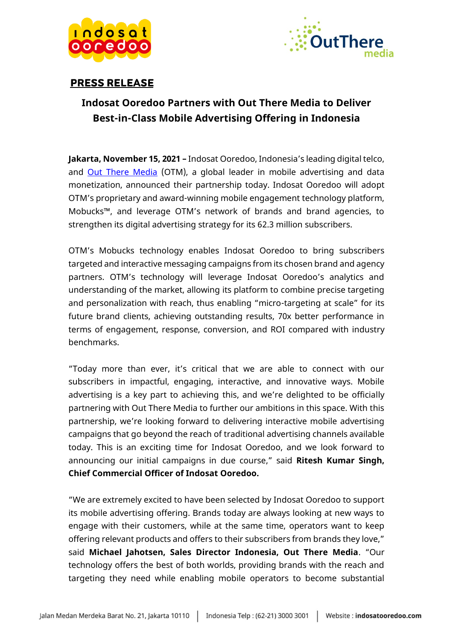



### **PRESS RELEASE**

# **Indosat Ooredoo Partners with Out There Media to Deliver Best-in-Class Mobile Advertising Offering in Indonesia**

**Jakarta, November 15, 2021 –** Indosat Ooredoo, Indonesia's leading digital telco, and [Out There Media](http://www.out-there-media.com/) (OTM), a global leader in mobile advertising and data monetization, announced their partnership today. Indosat Ooredoo will adopt OTM's proprietary and award-winning mobile engagement technology platform, Mobucks™, and leverage OTM's network of brands and brand agencies, to strengthen its digital advertising strategy for its 62.3 million subscribers.

OTM's Mobucks technology enables Indosat Ooredoo to bring subscribers targeted and interactive messaging campaigns from its chosen brand and agency partners. OTM's technology will leverage Indosat Ooredoo's analytics and understanding of the market, allowing its platform to combine precise targeting and personalization with reach, thus enabling "micro-targeting at scale" for its future brand clients, achieving outstanding results, 70x better performance in terms of engagement, response, conversion, and ROI compared with industry benchmarks.

"Today more than ever, it's critical that we are able to connect with our subscribers in impactful, engaging, interactive, and innovative ways. Mobile advertising is a key part to achieving this, and we're delighted to be officially partnering with Out There Media to further our ambitions in this space. With this partnership, we're looking forward to delivering interactive mobile advertising campaigns that go beyond the reach of traditional advertising channels available today. This is an exciting time for Indosat Ooredoo, and we look forward to announcing our initial campaigns in due course," said **Ritesh Kumar Singh, Chief Commercial Officer of Indosat Ooredoo.**

"We are extremely excited to have been selected by Indosat Ooredoo to support its mobile advertising offering. Brands today are always looking at new ways to engage with their customers, while at the same time, operators want to keep offering relevant products and offers to their subscribers from brands they love," said **Michael Jahotsen, Sales Director Indonesia, Out There Media**. "Our technology offers the best of both worlds, providing brands with the reach and targeting they need while enabling mobile operators to become substantial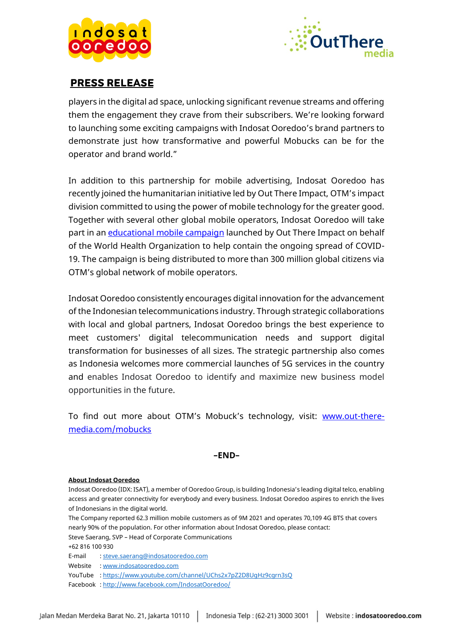



### **PRESS RELEASE**

players in the digital ad space, unlocking significant revenue streams and offering them the engagement they crave from their subscribers. We're looking forward to launching some exciting campaigns with Indosat Ooredoo's brand partners to demonstrate just how transformative and powerful Mobucks can be for the operator and brand world."

In addition to this partnership for mobile advertising, Indosat Ooredoo has recently joined the humanitarian initiative led by Out There Impact, OTM's impact division committed to using the power of mobile technology for the greater good. Together with several other global mobile operators, Indosat Ooredoo will take part in an [educational mobile campaign](https://www.realwire.com/releases/World-Health-Organization-and-Out-There-Impact-join-forces) launched by Out There Impact on behalf of the World Health Organization to help contain the ongoing spread of COVID-19. The campaign is being distributed to more than 300 million global citizens via OTM's global network of mobile operators.

Indosat Ooredoo consistently encourages digital innovation for the advancement of the Indonesian telecommunications industry. Through strategic collaborations with local and global partners, Indosat Ooredoo brings the best experience to meet customers' digital telecommunication needs and support digital transformation for businesses of all sizes. The strategic partnership also comes as Indonesia welcomes more commercial launches of 5G services in the country and enables Indosat Ooredoo to identify and maximize new business model opportunities in the future.

To find out more about OTM's Mobuck's technology, visit: www.out-theremedia.com/mobucks

### **–END–**

#### **About Indosat Ooredoo**

Indosat Ooredoo (IDX: ISAT), a member of Ooredoo Group, is building Indonesia's leading digital telco, enabling access and greater connectivity for everybody and every business. Indosat Ooredoo aspires to enrich the lives of Indonesians in the digital world.

The Company reported 62.3 million mobile customers as of 9M 2021 and operates 70,109 4G BTS that covers nearly 90% of the population. For other information about Indosat Ooredoo, please contact:

Steve Saerang, SVP – Head of Corporate Communications

+62 816 100 930

E-mail [: steve.saerang@indosatooredoo.com](mailto:steve.saerang@indosatooredoo.com)

Website [: www.indosatooredoo.com](http://www.indosatooredoo.com/)

YouTube [: https://www.youtube.com/channel/UChs2x7pZ2D8UgHz9cgrn3sQ](https://www.youtube.com/channel/UChs2x7pZ2D8UgHz9cgrn3sQ)

Facebook [: http://www.facebook.com/IndosatOoredoo/](http://www.facebook.com/IndosatOoredoo/)